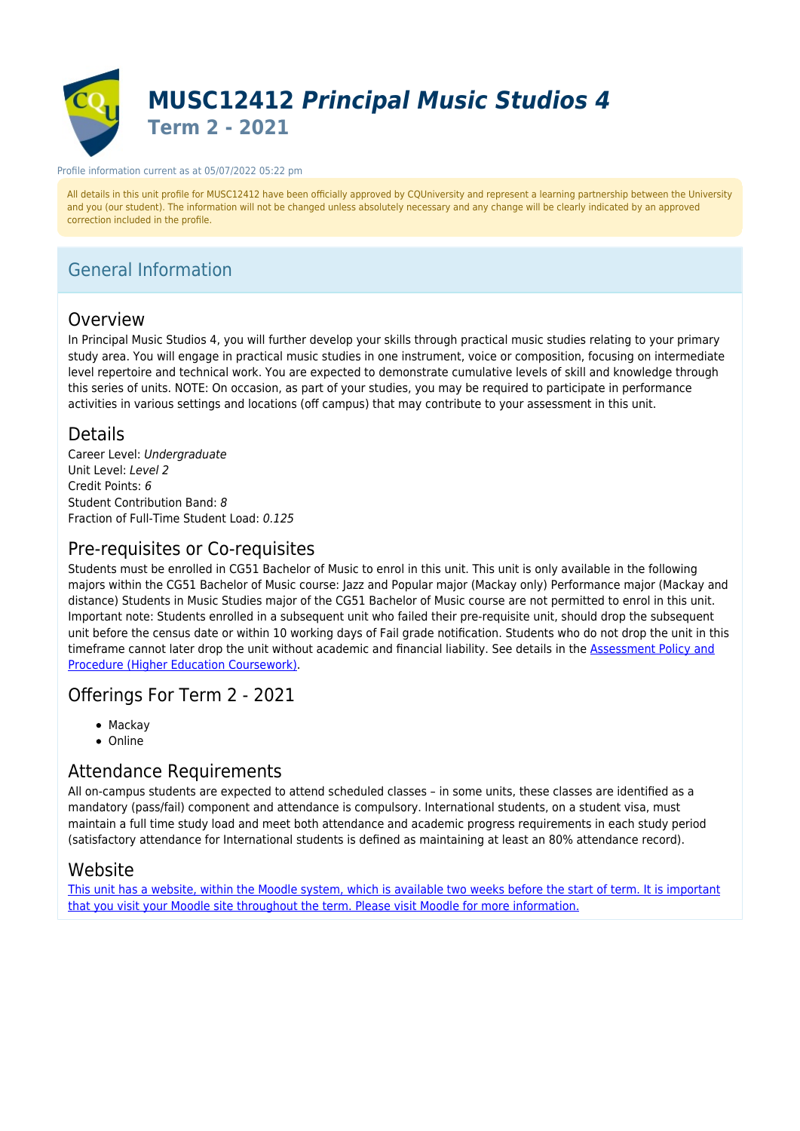

#### Profile information current as at 05/07/2022 05:22 pm

All details in this unit profile for MUSC12412 have been officially approved by CQUniversity and represent a learning partnership between the University and you (our student). The information will not be changed unless absolutely necessary and any change will be clearly indicated by an approved correction included in the profile.

# General Information

### Overview

In Principal Music Studios 4, you will further develop your skills through practical music studies relating to your primary study area. You will engage in practical music studies in one instrument, voice or composition, focusing on intermediate level repertoire and technical work. You are expected to demonstrate cumulative levels of skill and knowledge through this series of units. NOTE: On occasion, as part of your studies, you may be required to participate in performance activities in various settings and locations (off campus) that may contribute to your assessment in this unit.

### Details

Career Level: Undergraduate Unit Level: Level 2 Credit Points: 6 Student Contribution Band: 8 Fraction of Full-Time Student Load: 0.125

### Pre-requisites or Co-requisites

Students must be enrolled in CG51 Bachelor of Music to enrol in this unit. This unit is only available in the following majors within the CG51 Bachelor of Music course: Jazz and Popular major (Mackay only) Performance major (Mackay and distance) Students in Music Studies major of the CG51 Bachelor of Music course are not permitted to enrol in this unit. Important note: Students enrolled in a subsequent unit who failed their pre-requisite unit, should drop the subsequent unit before the census date or within 10 working days of Fail grade notification. Students who do not drop the unit in this timeframe cannot later drop the unit without academic and financial liability. See details in the **Assessment Policy and** [Procedure \(Higher Education Coursework\)](https://www.cqu.edu.au/policy).

### Offerings For Term 2 - 2021

- Mackay
- Online

### Attendance Requirements

All on-campus students are expected to attend scheduled classes – in some units, these classes are identified as a mandatory (pass/fail) component and attendance is compulsory. International students, on a student visa, must maintain a full time study load and meet both attendance and academic progress requirements in each study period (satisfactory attendance for International students is defined as maintaining at least an 80% attendance record).

### Website

[This unit has a website, within the Moodle system, which is available two weeks before the start of term. It is important](https://moodle.cqu.edu.au) [that you visit your Moodle site throughout the term. Please visit Moodle for more information.](https://moodle.cqu.edu.au)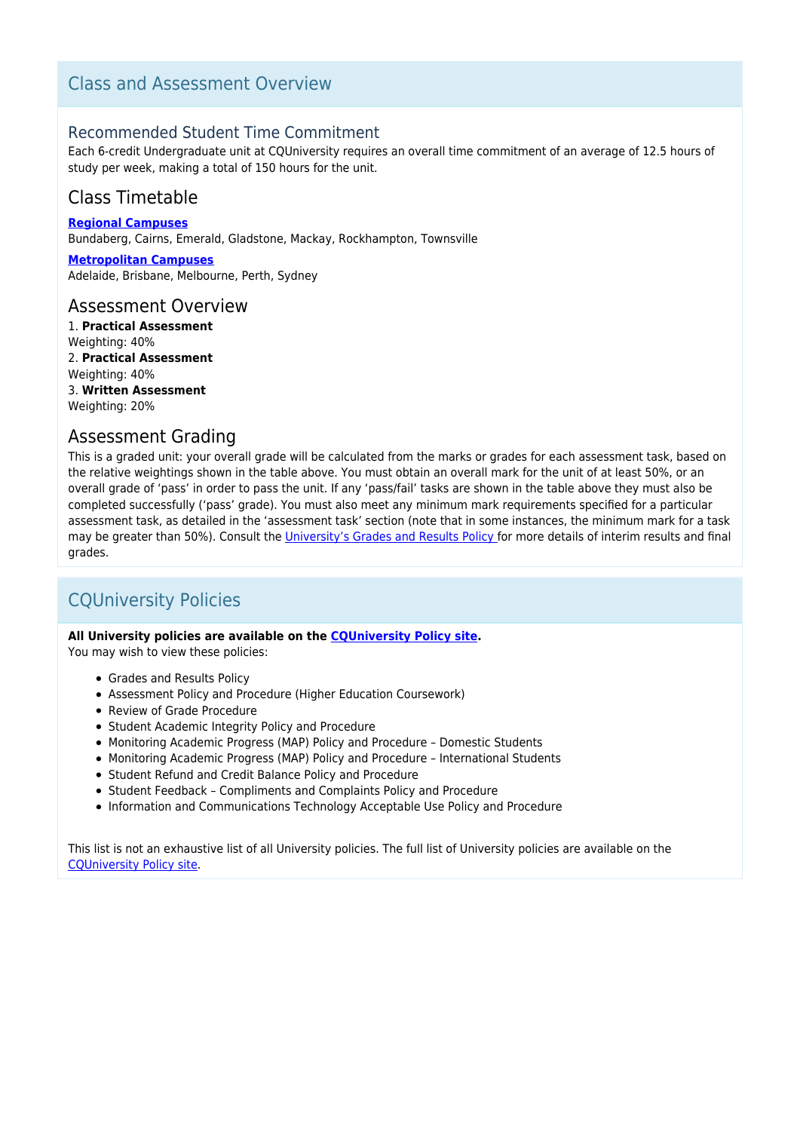### Class and Assessment Overview

### Recommended Student Time Commitment

Each 6-credit Undergraduate unit at CQUniversity requires an overall time commitment of an average of 12.5 hours of study per week, making a total of 150 hours for the unit.

### Class Timetable

**[Regional Campuses](https://handbook.cqu.edu.au/facet/timetables)** Bundaberg, Cairns, Emerald, Gladstone, Mackay, Rockhampton, Townsville

**[Metropolitan Campuses](https://handbook.cqu.edu.au/facet/timetables)** Adelaide, Brisbane, Melbourne, Perth, Sydney

### Assessment Overview

1. **Practical Assessment** Weighting: 40% 2. **Practical Assessment** Weighting: 40% 3. **Written Assessment** Weighting: 20%

### Assessment Grading

This is a graded unit: your overall grade will be calculated from the marks or grades for each assessment task, based on the relative weightings shown in the table above. You must obtain an overall mark for the unit of at least 50%, or an overall grade of 'pass' in order to pass the unit. If any 'pass/fail' tasks are shown in the table above they must also be completed successfully ('pass' grade). You must also meet any minimum mark requirements specified for a particular assessment task, as detailed in the 'assessment task' section (note that in some instances, the minimum mark for a task may be greater than 50%). Consult the [University's Grades and Results Policy](https://www.cqu.edu.au/policy) for more details of interim results and final grades.

# CQUniversity Policies

#### **All University policies are available on the [CQUniversity Policy site.](https://policy.cqu.edu.au/)**

You may wish to view these policies:

- Grades and Results Policy
- Assessment Policy and Procedure (Higher Education Coursework)
- Review of Grade Procedure
- Student Academic Integrity Policy and Procedure
- Monitoring Academic Progress (MAP) Policy and Procedure Domestic Students
- Monitoring Academic Progress (MAP) Policy and Procedure International Students
- Student Refund and Credit Balance Policy and Procedure
- Student Feedback Compliments and Complaints Policy and Procedure
- Information and Communications Technology Acceptable Use Policy and Procedure

This list is not an exhaustive list of all University policies. The full list of University policies are available on the [CQUniversity Policy site.](https://policy.cqu.edu.au/)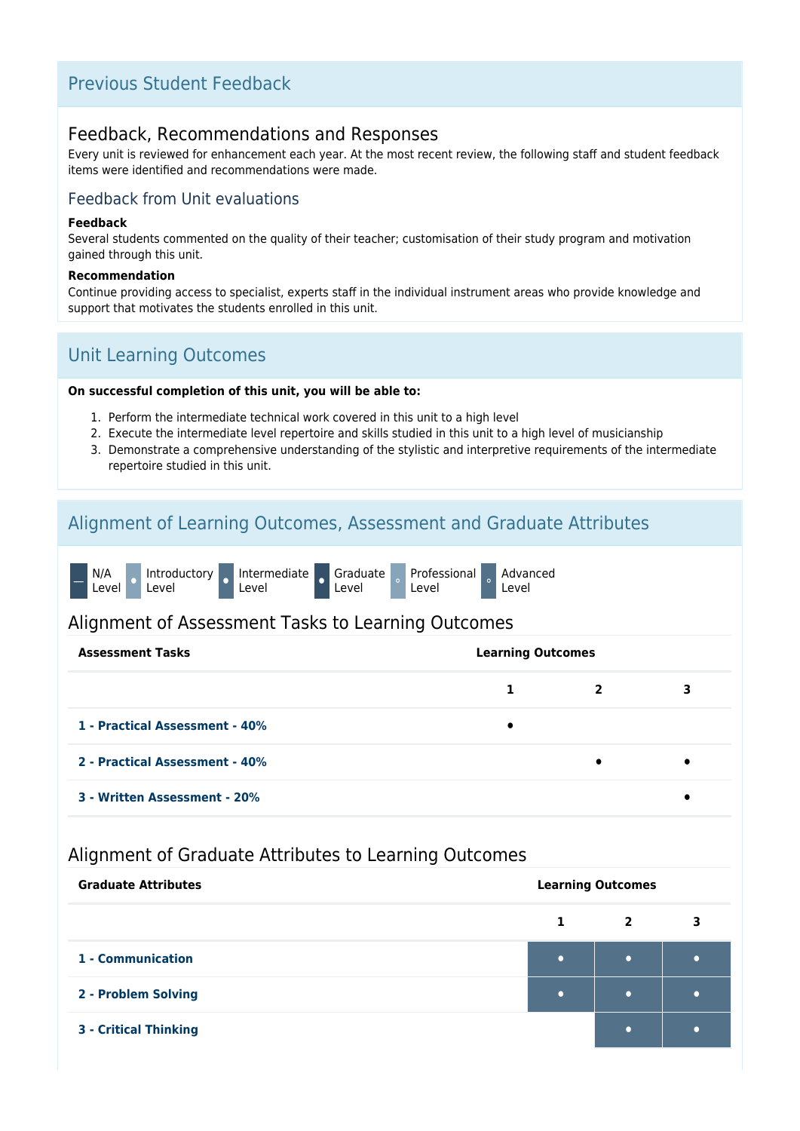# Previous Student Feedback

### Feedback, Recommendations and Responses

Every unit is reviewed for enhancement each year. At the most recent review, the following staff and student feedback items were identified and recommendations were made.

### Feedback from Unit evaluations

#### **Feedback**

Several students commented on the quality of their teacher; customisation of their study program and motivation gained through this unit.

#### **Recommendation**

Continue providing access to specialist, experts staff in the individual instrument areas who provide knowledge and support that motivates the students enrolled in this unit.

# Unit Learning Outcomes

#### **On successful completion of this unit, you will be able to:**

- 1. Perform the intermediate technical work covered in this unit to a high level
- 2. Execute the intermediate level repertoire and skills studied in this unit to a high level of musicianship
- 3. Demonstrate a comprehensive understanding of the stylistic and interpretive requirements of the intermediate repertoire studied in this unit.

# Alignment of Learning Outcomes, Assessment and Graduate Attributes

|  | N/A<br>Level <sup>'</sup> |  | Level |  | Introductory Intermediate Graduate Professional Advanced<br>Level |  | . Level |  | Level |  | Level |
|--|---------------------------|--|-------|--|-------------------------------------------------------------------|--|---------|--|-------|--|-------|
|--|---------------------------|--|-------|--|-------------------------------------------------------------------|--|---------|--|-------|--|-------|

### Alignment of Assessment Tasks to Learning Outcomes

| <b>Assessment Tasks</b>        |   | <b>Learning Outcomes</b> |   |  |  |  |
|--------------------------------|---|--------------------------|---|--|--|--|
|                                |   | 2                        | 3 |  |  |  |
| 1 - Practical Assessment - 40% | ٠ |                          |   |  |  |  |
| 2 - Practical Assessment - 40% |   | $\bullet$                |   |  |  |  |
| 3 - Written Assessment - 20%   |   |                          |   |  |  |  |

### Alignment of Graduate Attributes to Learning Outcomes

| <b>Graduate Attributes</b>   | <b>Learning Outcomes</b> |                |  |  |
|------------------------------|--------------------------|----------------|--|--|
|                              | 1                        | $\overline{2}$ |  |  |
| 1 - Communication            | $\bullet$                | $\bullet$      |  |  |
| 2 - Problem Solving          | $\bullet$                | $\bullet$      |  |  |
| <b>3 - Critical Thinking</b> |                          | $\bullet$      |  |  |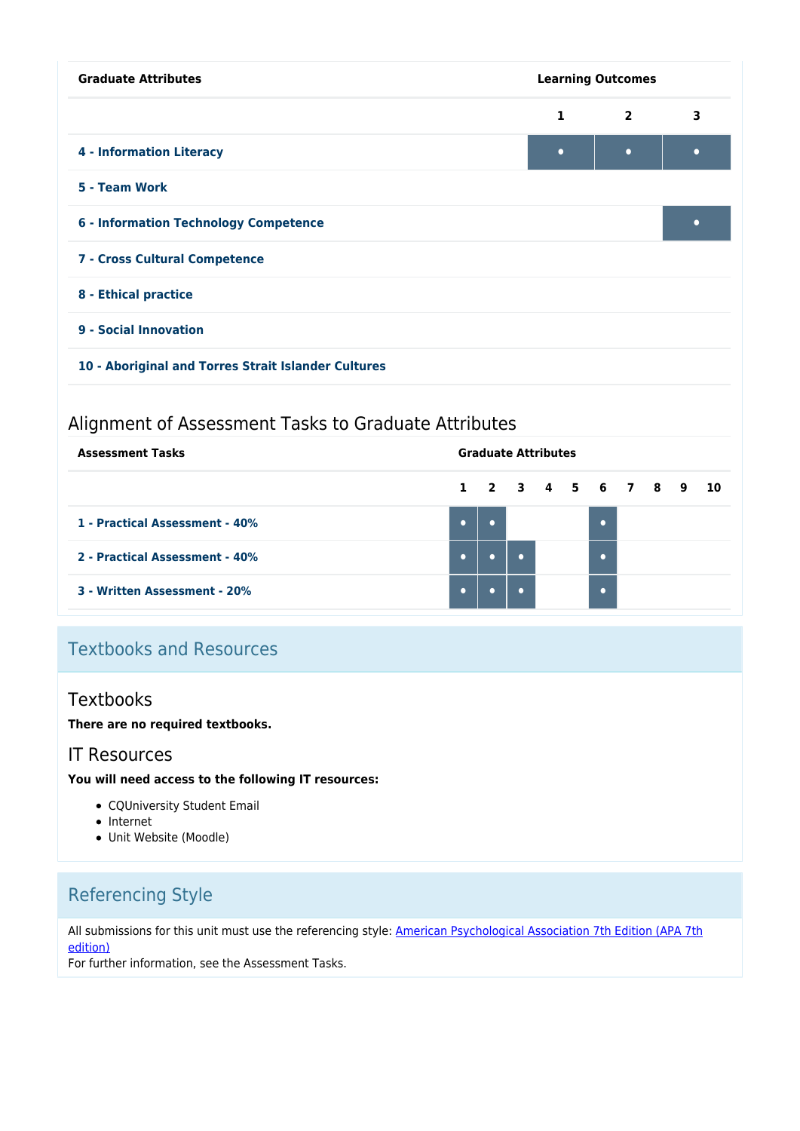| <b>Graduate Attributes</b>                          | <b>Learning Outcomes</b> |                |   |  |  |  |  |  |
|-----------------------------------------------------|--------------------------|----------------|---|--|--|--|--|--|
|                                                     | $\mathbf{1}$             | $\overline{2}$ | 3 |  |  |  |  |  |
| <b>4 - Information Literacy</b>                     | $\bullet$                | $\bullet$      | ٠ |  |  |  |  |  |
| 5 - Team Work                                       |                          |                |   |  |  |  |  |  |
| <b>6 - Information Technology Competence</b>        |                          |                |   |  |  |  |  |  |
| 7 - Cross Cultural Competence                       |                          |                |   |  |  |  |  |  |
| 8 - Ethical practice                                |                          |                |   |  |  |  |  |  |
| 9 - Social Innovation                               |                          |                |   |  |  |  |  |  |
| 10 - Aboriginal and Torres Strait Islander Cultures |                          |                |   |  |  |  |  |  |

# Alignment of Assessment Tasks to Graduate Attributes

| <b>Assessment Tasks</b>        |           |                      | <b>Graduate Attributes</b> |  |  |  |  |  |  |  |  |  |  |
|--------------------------------|-----------|----------------------|----------------------------|--|--|--|--|--|--|--|--|--|--|
|                                |           | 1 2 3 4 5 6 7 8 9 10 |                            |  |  |  |  |  |  |  |  |  |  |
| 1 - Practical Assessment - 40% | $\bullet$ |                      |                            |  |  |  |  |  |  |  |  |  |  |
| 2 - Practical Assessment - 40% | $\bullet$ |                      |                            |  |  |  |  |  |  |  |  |  |  |
| 3 - Written Assessment - 20%   | $\bullet$ |                      |                            |  |  |  |  |  |  |  |  |  |  |

# Textbooks and Resources

### **Textbooks**

### **There are no required textbooks.**

### IT Resources

#### **You will need access to the following IT resources:**

- CQUniversity Student Email
- Internet
- Unit Website (Moodle)

# Referencing Style

All submissions for this unit must use the referencing style: [American Psychological Association 7th Edition \(APA 7th](https://delivery-cqucontenthub.stylelabs.cloud/api/public/content/apa-referencing-style.pdf?v=51e1aea7) [edition\)](https://delivery-cqucontenthub.stylelabs.cloud/api/public/content/apa-referencing-style.pdf?v=51e1aea7)

For further information, see the Assessment Tasks.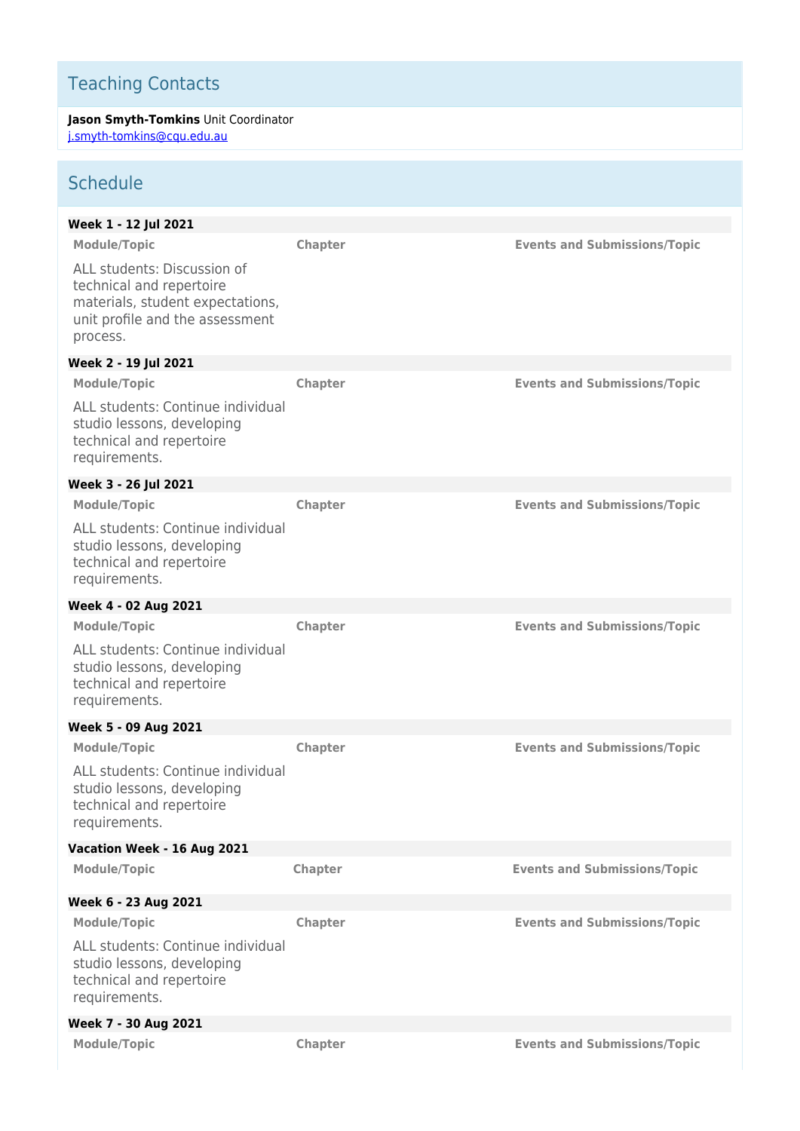# Teaching Contacts

**Jason Smyth-Tomkins** Unit Coordinator [j.smyth-tomkins@cqu.edu.au](mailto:j.smyth-tomkins@cqu.edu.au)

# **Schedule**

| Week 1 - 12 Jul 2021                                                                                                                       |                |                                     |
|--------------------------------------------------------------------------------------------------------------------------------------------|----------------|-------------------------------------|
| <b>Module/Topic</b>                                                                                                                        | <b>Chapter</b> | <b>Events and Submissions/Topic</b> |
| ALL students: Discussion of<br>technical and repertoire<br>materials, student expectations,<br>unit profile and the assessment<br>process. |                |                                     |
| Week 2 - 19 Jul 2021                                                                                                                       |                |                                     |
| <b>Module/Topic</b>                                                                                                                        | <b>Chapter</b> | <b>Events and Submissions/Topic</b> |
| ALL students: Continue individual<br>studio lessons, developing<br>technical and repertoire<br>requirements.                               |                |                                     |
| Week 3 - 26 Jul 2021                                                                                                                       |                |                                     |
| <b>Module/Topic</b>                                                                                                                        | <b>Chapter</b> | <b>Events and Submissions/Topic</b> |
| ALL students: Continue individual<br>studio lessons, developing<br>technical and repertoire<br>requirements.                               |                |                                     |
| Week 4 - 02 Aug 2021                                                                                                                       |                |                                     |
| <b>Module/Topic</b>                                                                                                                        | Chapter        | <b>Events and Submissions/Topic</b> |
| ALL students: Continue individual<br>studio lessons, developing<br>technical and repertoire<br>requirements.                               |                |                                     |
| Week 5 - 09 Aug 2021                                                                                                                       |                |                                     |
| <b>Module/Topic</b>                                                                                                                        | <b>Chapter</b> | <b>Events and Submissions/Topic</b> |
| ALL students: Continue individual<br>studio lessons, developing<br>technical and repertoire<br>requirements.                               |                |                                     |
| Vacation Week - 16 Aug 2021                                                                                                                |                |                                     |
| <b>Module/Topic</b>                                                                                                                        | Chapter        | <b>Events and Submissions/Topic</b> |
| Week 6 - 23 Aug 2021                                                                                                                       |                |                                     |
| <b>Module/Topic</b>                                                                                                                        | Chapter        | <b>Events and Submissions/Topic</b> |
| ALL students: Continue individual<br>studio lessons, developing<br>technical and repertoire<br>requirements.                               |                |                                     |
| Week 7 - 30 Aug 2021                                                                                                                       |                |                                     |
| <b>Module/Topic</b>                                                                                                                        | Chapter        | <b>Events and Submissions/Topic</b> |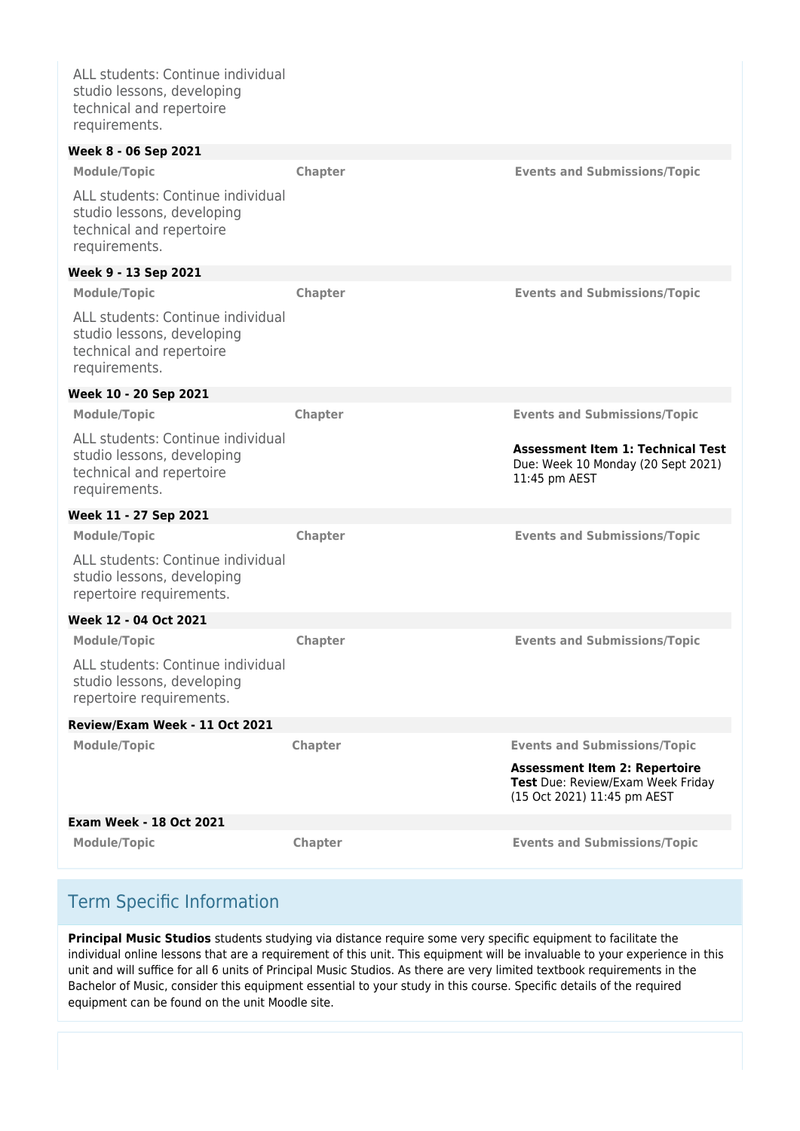ALL students: Continue individual studio lessons, developing technical and repertoire requirements.

| Week 8 - 06 Sep 2021                                                                                         |                |                                                                                                          |
|--------------------------------------------------------------------------------------------------------------|----------------|----------------------------------------------------------------------------------------------------------|
| <b>Module/Topic</b>                                                                                          | <b>Chapter</b> | <b>Events and Submissions/Topic</b>                                                                      |
| ALL students: Continue individual<br>studio lessons, developing<br>technical and repertoire<br>requirements. |                |                                                                                                          |
| Week 9 - 13 Sep 2021                                                                                         |                |                                                                                                          |
| <b>Module/Topic</b>                                                                                          | <b>Chapter</b> | <b>Events and Submissions/Topic</b>                                                                      |
| ALL students: Continue individual<br>studio lessons, developing<br>technical and repertoire<br>requirements. |                |                                                                                                          |
| Week 10 - 20 Sep 2021                                                                                        |                |                                                                                                          |
| <b>Module/Topic</b>                                                                                          | <b>Chapter</b> | <b>Events and Submissions/Topic</b>                                                                      |
| ALL students: Continue individual<br>studio lessons, developing<br>technical and repertoire<br>requirements. |                | <b>Assessment Item 1: Technical Test</b><br>Due: Week 10 Monday (20 Sept 2021)<br>11:45 pm AEST          |
| Week 11 - 27 Sep 2021                                                                                        |                |                                                                                                          |
| <b>Module/Topic</b>                                                                                          | Chapter        | <b>Events and Submissions/Topic</b>                                                                      |
| ALL students: Continue individual<br>studio lessons, developing<br>repertoire requirements.                  |                |                                                                                                          |
| Week 12 - 04 Oct 2021                                                                                        |                |                                                                                                          |
| <b>Module/Topic</b>                                                                                          | Chapter        | <b>Events and Submissions/Topic</b>                                                                      |
| ALL students: Continue individual<br>studio lessons, developing<br>repertoire requirements.                  |                |                                                                                                          |
| Review/Exam Week - 11 Oct 2021                                                                               |                |                                                                                                          |
| <b>Module/Topic</b>                                                                                          | Chapter        | <b>Events and Submissions/Topic</b>                                                                      |
|                                                                                                              |                | <b>Assessment Item 2: Repertoire</b><br>Test Due: Review/Exam Week Friday<br>(15 Oct 2021) 11:45 pm AEST |
| <b>Exam Week - 18 Oct 2021</b>                                                                               |                |                                                                                                          |
| <b>Module/Topic</b>                                                                                          | Chapter        | <b>Events and Submissions/Topic</b>                                                                      |

# Term Specific Information

**Principal Music Studios** students studying via distance require some very specific equipment to facilitate the individual online lessons that are a requirement of this unit. This equipment will be invaluable to your experience in this unit and will suffice for all 6 units of Principal Music Studios. As there are very limited textbook requirements in the Bachelor of Music, consider this equipment essential to your study in this course. Specific details of the required equipment can be found on the unit Moodle site.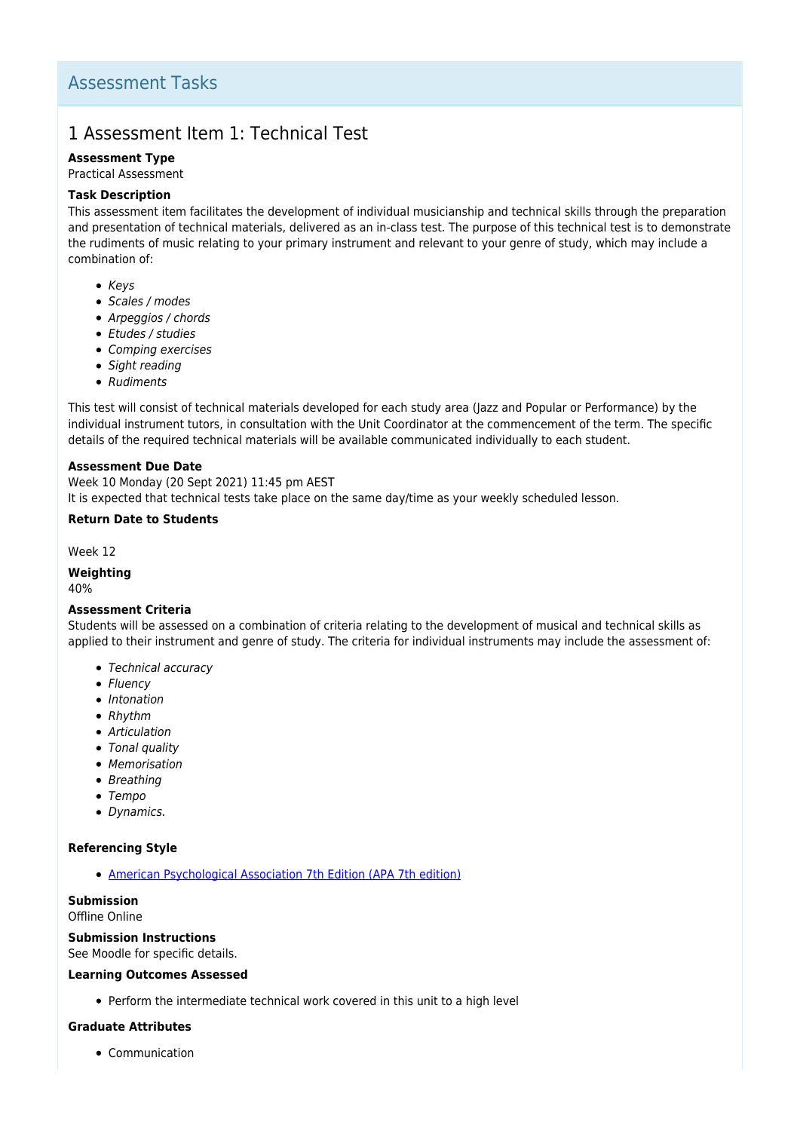# 1 Assessment Item 1: Technical Test

#### **Assessment Type**

Practical Assessment

#### **Task Description**

This assessment item facilitates the development of individual musicianship and technical skills through the preparation and presentation of technical materials, delivered as an in-class test. The purpose of this technical test is to demonstrate the rudiments of music relating to your primary instrument and relevant to your genre of study, which may include a combination of:

- $\bullet$  Keys
- Scales / modes
- Arpeggios / chords
- Etudes / studies
- Comping exercises
- Sight reading
- Rudiments

This test will consist of technical materials developed for each study area (Jazz and Popular or Performance) by the individual instrument tutors, in consultation with the Unit Coordinator at the commencement of the term. The specific details of the required technical materials will be available communicated individually to each student.

#### **Assessment Due Date**

Week 10 Monday (20 Sept 2021) 11:45 pm AEST It is expected that technical tests take place on the same day/time as your weekly scheduled lesson.

#### **Return Date to Students**

Week 12

#### **Weighting**

40%

#### **Assessment Criteria**

Students will be assessed on a combination of criteria relating to the development of musical and technical skills as applied to their instrument and genre of study. The criteria for individual instruments may include the assessment of:

- Technical accuracy
- Fluency
- Intonation
- Rhythm
- Articulation
- Tonal quality
- Memorisation
- Breathing
- Tempo
- Dynamics.

#### **Referencing Style**

[American Psychological Association 7th Edition \(APA 7th edition\)](https://delivery-cqucontenthub.stylelabs.cloud/api/public/content/apa-referencing-style.pdf?v=51e1aea7)

**Submission** Offline Online

#### **Submission Instructions**

See Moodle for specific details.

#### **Learning Outcomes Assessed**

Perform the intermediate technical work covered in this unit to a high level

#### **Graduate Attributes**

• Communication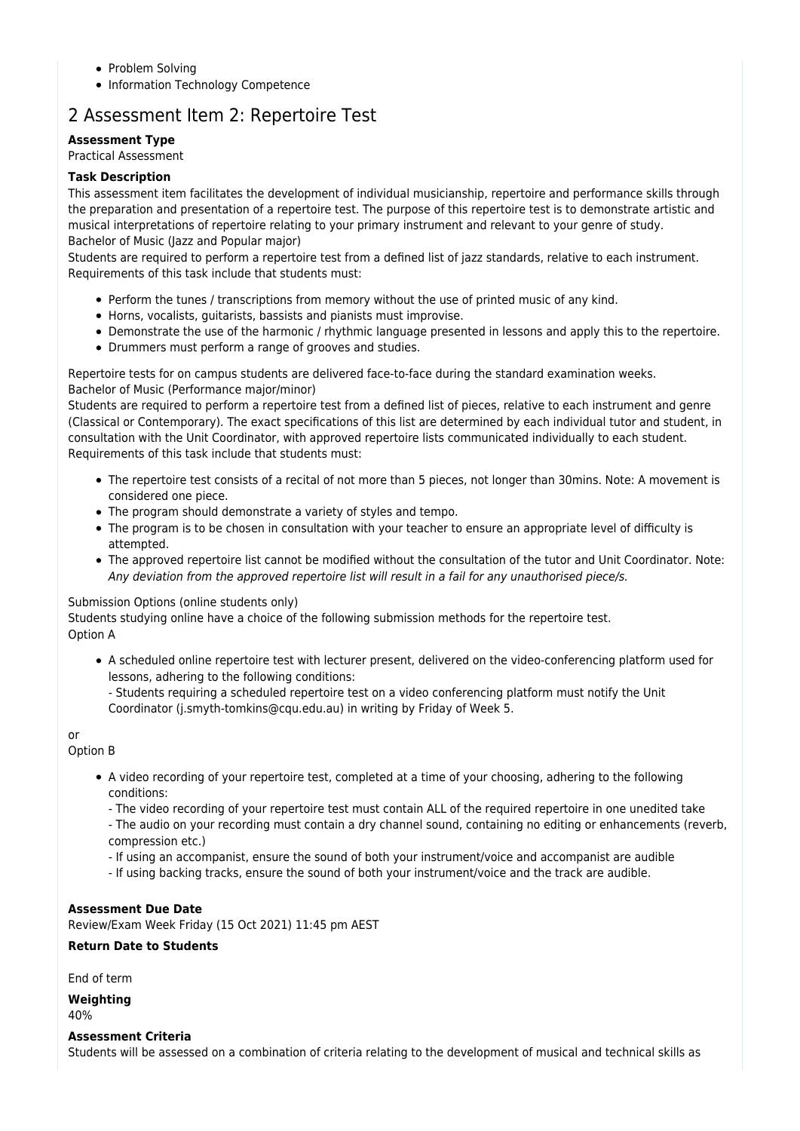- Problem Solving
- Information Technology Competence

# 2 Assessment Item 2: Repertoire Test

**Assessment Type**

### Practical Assessment

### **Task Description**

This assessment item facilitates the development of individual musicianship, repertoire and performance skills through the preparation and presentation of a repertoire test. The purpose of this repertoire test is to demonstrate artistic and musical interpretations of repertoire relating to your primary instrument and relevant to your genre of study. Bachelor of Music (Jazz and Popular major)

Students are required to perform a repertoire test from a defined list of jazz standards, relative to each instrument. Requirements of this task include that students must:

- Perform the tunes / transcriptions from memory without the use of printed music of any kind.
- Horns, vocalists, guitarists, bassists and pianists must improvise.
- Demonstrate the use of the harmonic / rhythmic language presented in lessons and apply this to the repertoire.
- Drummers must perform a range of grooves and studies.

Repertoire tests for on campus students are delivered face-to-face during the standard examination weeks. Bachelor of Music (Performance major/minor)

Students are required to perform a repertoire test from a defined list of pieces, relative to each instrument and genre (Classical or Contemporary). The exact specifications of this list are determined by each individual tutor and student, in consultation with the Unit Coordinator, with approved repertoire lists communicated individually to each student. Requirements of this task include that students must:

- The repertoire test consists of a recital of not more than 5 pieces, not longer than 30mins. Note: A movement is considered one piece.
- The program should demonstrate a variety of styles and tempo.
- The program is to be chosen in consultation with your teacher to ensure an appropriate level of difficulty is attempted.
- The approved repertoire list cannot be modified without the consultation of the tutor and Unit Coordinator. Note: Any deviation from the approved repertoire list will result in a fail for any unauthorised piece/s.

#### Submission Options (online students only)

Students studying online have a choice of the following submission methods for the repertoire test. Option A

- A scheduled online repertoire test with lecturer present, delivered on the video-conferencing platform used for lessons, adhering to the following conditions:
	- Students requiring a scheduled repertoire test on a video conferencing platform must notify the Unit Coordinator (j.smyth-tomkins@cqu.edu.au) in writing by Friday of Week 5.

#### or

Option B

- A video recording of your repertoire test, completed at a time of your choosing, adhering to the following conditions:
	- The video recording of your repertoire test must contain ALL of the required repertoire in one unedited take
	- The audio on your recording must contain a dry channel sound, containing no editing or enhancements (reverb, compression etc.)
	- If using an accompanist, ensure the sound of both your instrument/voice and accompanist are audible
	- If using backing tracks, ensure the sound of both your instrument/voice and the track are audible.

#### **Assessment Due Date**

Review/Exam Week Friday (15 Oct 2021) 11:45 pm AEST

#### **Return Date to Students**

End of term

#### **Weighting**

40%

#### **Assessment Criteria**

Students will be assessed on a combination of criteria relating to the development of musical and technical skills as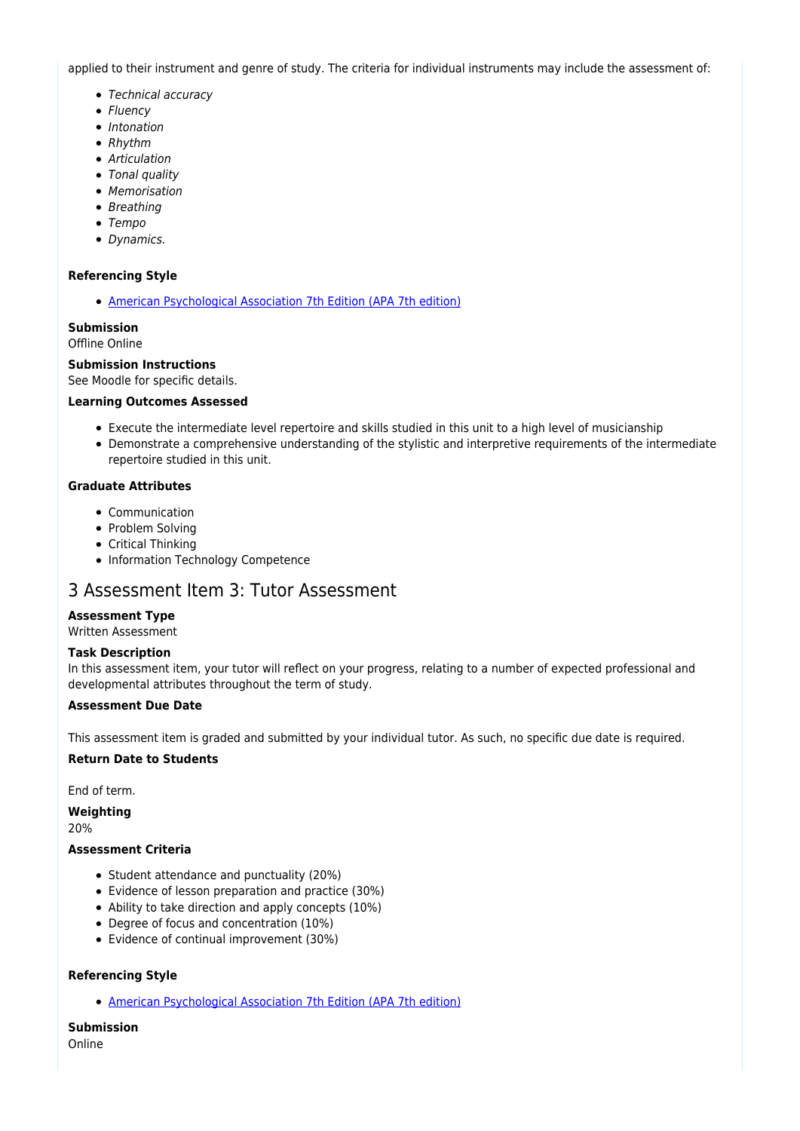applied to their instrument and genre of study. The criteria for individual instruments may include the assessment of:

- Technical accuracy
- Fluency
- Intonation
- Rhythm
- Articulation
- Tonal quality
- Memorisation
- Breathing
- Tempo
- Dynamics.

#### **Referencing Style**

[American Psychological Association 7th Edition \(APA 7th edition\)](https://delivery-cqucontenthub.stylelabs.cloud/api/public/content/apa-referencing-style.pdf?v=51e1aea7)

#### **Submission** Offline Online

### **Submission Instructions**

See Moodle for specific details.

#### **Learning Outcomes Assessed**

- Execute the intermediate level repertoire and skills studied in this unit to a high level of musicianship
- Demonstrate a comprehensive understanding of the stylistic and interpretive requirements of the intermediate repertoire studied in this unit.

#### **Graduate Attributes**

- Communication
- Problem Solving
- Critical Thinking
- Information Technology Competence

### 3 Assessment Item 3: Tutor Assessment

#### **Assessment Type**

Written Assessment

#### **Task Description**

In this assessment item, your tutor will reflect on your progress, relating to a number of expected professional and developmental attributes throughout the term of study.

#### **Assessment Due Date**

This assessment item is graded and submitted by your individual tutor. As such, no specific due date is required.

#### **Return Date to Students**

End of term.

**Weighting**

20%

#### **Assessment Criteria**

- Student attendance and punctuality (20%)
- Evidence of lesson preparation and practice (30%)
- Ability to take direction and apply concepts (10%)
- Degree of focus and concentration (10%)
- Evidence of continual improvement (30%)

#### **Referencing Style**

[American Psychological Association 7th Edition \(APA 7th edition\)](https://delivery-cqucontenthub.stylelabs.cloud/api/public/content/apa-referencing-style.pdf?v=51e1aea7)

**Submission** Online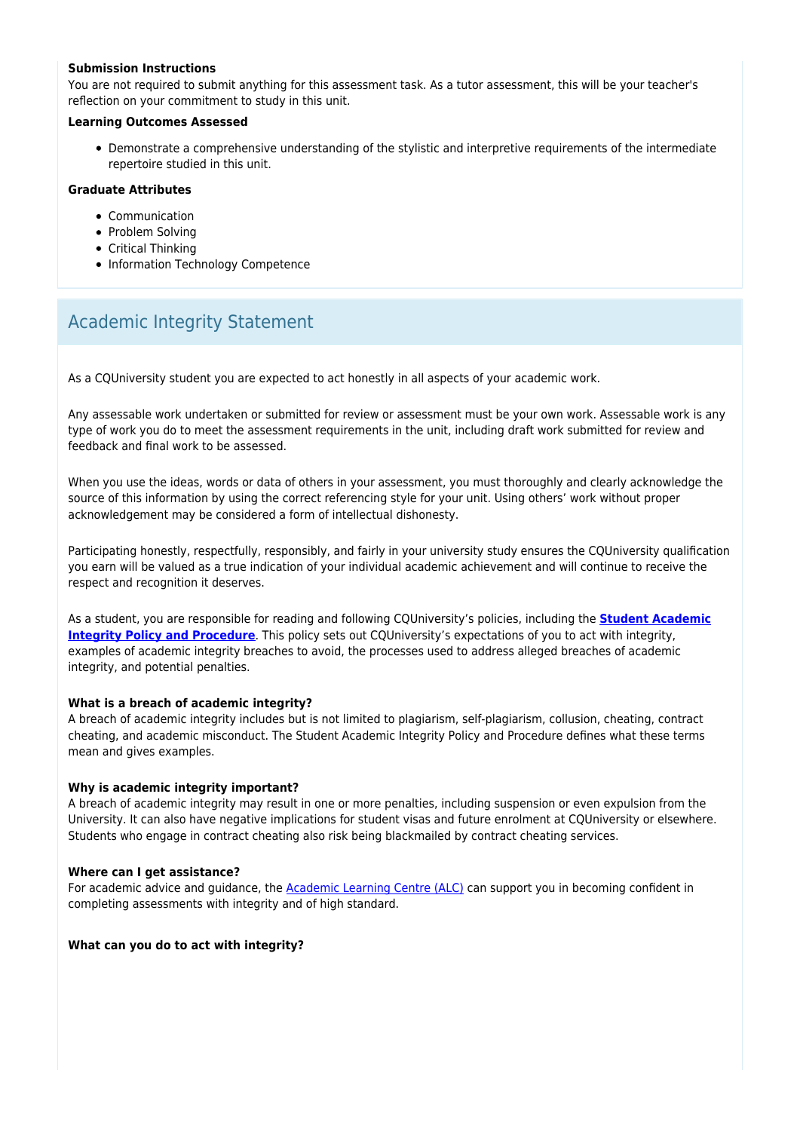#### **Submission Instructions**

You are not required to submit anything for this assessment task. As a tutor assessment, this will be your teacher's reflection on your commitment to study in this unit.

#### **Learning Outcomes Assessed**

Demonstrate a comprehensive understanding of the stylistic and interpretive requirements of the intermediate repertoire studied in this unit.

#### **Graduate Attributes**

- Communication
- Problem Solving
- Critical Thinking
- Information Technology Competence

### Academic Integrity Statement

As a CQUniversity student you are expected to act honestly in all aspects of your academic work.

Any assessable work undertaken or submitted for review or assessment must be your own work. Assessable work is any type of work you do to meet the assessment requirements in the unit, including draft work submitted for review and feedback and final work to be assessed.

When you use the ideas, words or data of others in your assessment, you must thoroughly and clearly acknowledge the source of this information by using the correct referencing style for your unit. Using others' work without proper acknowledgement may be considered a form of intellectual dishonesty.

Participating honestly, respectfully, responsibly, and fairly in your university study ensures the CQUniversity qualification you earn will be valued as a true indication of your individual academic achievement and will continue to receive the respect and recognition it deserves.

As a student, you are responsible for reading and following CQUniversity's policies, including the **[Student Academic](https://www.cqu.edu.au/policy/sharepoint-document-download?file_uri={BE8380F3-F86D-4C55-AC0D-84A81EAFD6A2}/Student%20Academic%20Integrity%20Policy%20and%20Procedure%20(formerly%20known%20as%20the%20Academic%20Misconduct%20Procedure).pdf) [Integrity Policy and Procedure](https://www.cqu.edu.au/policy/sharepoint-document-download?file_uri={BE8380F3-F86D-4C55-AC0D-84A81EAFD6A2}/Student%20Academic%20Integrity%20Policy%20and%20Procedure%20(formerly%20known%20as%20the%20Academic%20Misconduct%20Procedure).pdf)**. This policy sets out CQUniversity's expectations of you to act with integrity, examples of academic integrity breaches to avoid, the processes used to address alleged breaches of academic integrity, and potential penalties.

#### **What is a breach of academic integrity?**

A breach of academic integrity includes but is not limited to plagiarism, self-plagiarism, collusion, cheating, contract cheating, and academic misconduct. The Student Academic Integrity Policy and Procedure defines what these terms mean and gives examples.

#### **Why is academic integrity important?**

A breach of academic integrity may result in one or more penalties, including suspension or even expulsion from the University. It can also have negative implications for student visas and future enrolment at CQUniversity or elsewhere. Students who engage in contract cheating also risk being blackmailed by contract cheating services.

#### **Where can I get assistance?**

For academic advice and guidance, the [Academic Learning Centre \(ALC\)](https://www.cqu.edu.au/student-life/academic-learning-centre) can support you in becoming confident in completing assessments with integrity and of high standard.

#### **What can you do to act with integrity?**